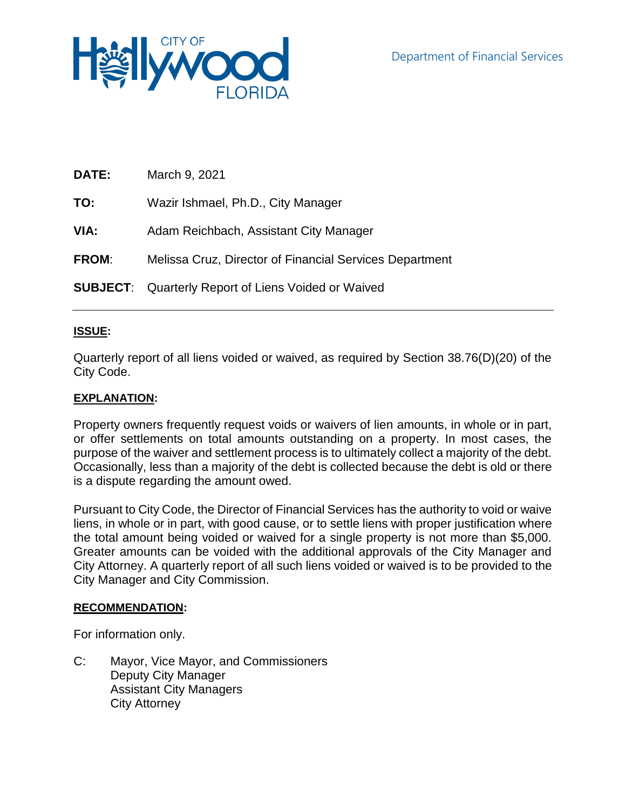

| <b>DATE:</b> | March 9, 2021                                              |
|--------------|------------------------------------------------------------|
| TO:          | Wazir Ishmael, Ph.D., City Manager                         |
| VIA:         | Adam Reichbach, Assistant City Manager                     |
| <b>FROM:</b> | Melissa Cruz, Director of Financial Services Department    |
|              | <b>SUBJECT:</b> Quarterly Report of Liens Voided or Waived |

# **ISSUE:**

Quarterly report of all liens voided or waived, as required by Section 38.76(D)(20) of the City Code.

## **EXPLANATION:**

Property owners frequently request voids or waivers of lien amounts, in whole or in part, or offer settlements on total amounts outstanding on a property. In most cases, the purpose of the waiver and settlement process is to ultimately collect a majority of the debt. Occasionally, less than a majority of the debt is collected because the debt is old or there is a dispute regarding the amount owed.

Pursuant to City Code, the Director of Financial Services has the authority to void or waive liens, in whole or in part, with good cause, or to settle liens with proper justification where the total amount being voided or waived for a single property is not more than \$5,000. Greater amounts can be voided with the additional approvals of the City Manager and City Attorney. A quarterly report of all such liens voided or waived is to be provided to the City Manager and City Commission.

## **RECOMMENDATION:**

For information only.

C: Mayor, Vice Mayor, and Commissioners Deputy City Manager Assistant City Managers City Attorney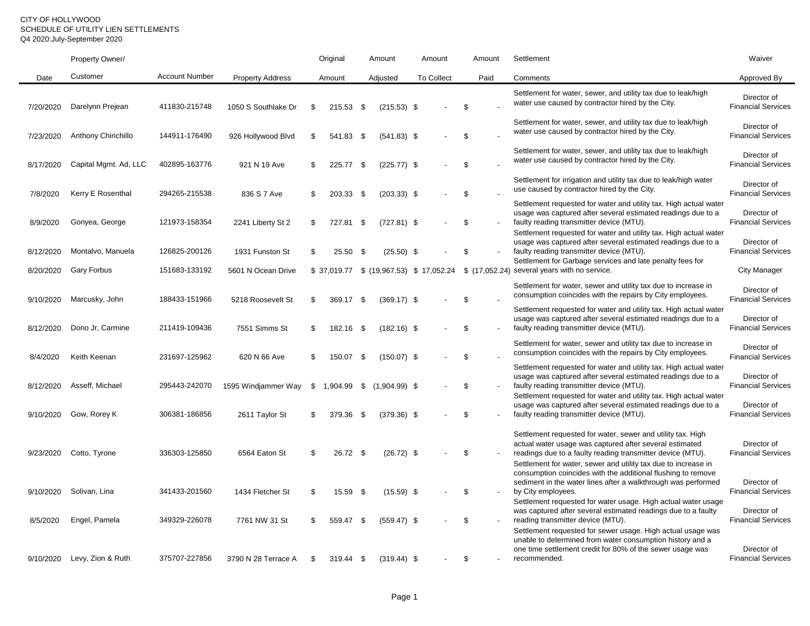### CITY OF HOLLYWOOD SCHEDULE OF UTILITY LIEN SETTLEMENTS Q4 2020:July-September 2020

|           | Property Owner/            |                       |                         | Original          | Amount |                 | Amount |                   | Amount        |      | Settlement                                                                                                                                                                                            | Waiver                                   |
|-----------|----------------------------|-----------------------|-------------------------|-------------------|--------|-----------------|--------|-------------------|---------------|------|-------------------------------------------------------------------------------------------------------------------------------------------------------------------------------------------------------|------------------------------------------|
| Date      | Customer                   | <b>Account Number</b> | <b>Property Address</b> | Amount            |        | Adjusted        |        | <b>To Collect</b> |               | Paid | Comments                                                                                                                                                                                              | Approved By                              |
| 7/20/2020 | Darelynn Prejean           | 411830-215748         | 1050 S Southlake Dr     | \$<br>215.53 \$   |        | $(215.53)$ \$   |        |                   | \$            |      | Settlement for water, sewer, and utility tax due to leak/high<br>water use caused by contractor hired by the City.                                                                                    | Director of<br><b>Financial Services</b> |
| 7/23/2020 | <b>Anthony Chirichillo</b> | 144911-176490         | 926 Hollywood Blvd      | \$<br>541.83 \$   |        | $(541.83)$ \$   |        |                   | \$            |      | Settlement for water, sewer, and utility tax due to leak/high<br>water use caused by contractor hired by the City.                                                                                    | Director of<br><b>Financial Services</b> |
| 8/17/2020 | Capital Mgmt. Ad, LLC      | 402895-163776         | 921 N 19 Ave            | \$<br>225.77 \$   |        | $(225.77)$ \$   |        |                   | \$            |      | Settlement for water, sewer, and utility tax due to leak/high<br>water use caused by contractor hired by the City.                                                                                    | Director of<br><b>Financial Services</b> |
| 7/8/2020  | Kerry E Rosenthal          | 294265-215538         | 836 S 7 Ave             | \$<br>203.33 \$   |        | $(203.33)$ \$   |        |                   | \$            |      | Settlement for irrigation and utility tax due to leak/high water<br>use caused by contractor hired by the City.                                                                                       | Director of<br><b>Financial Services</b> |
| 8/9/2020  | Gonyea, George             | 121973-158354         | 2241 Liberty St 2       | \$<br>727.81      | -\$    | $(727.81)$ \$   |        |                   | \$            |      | Settlement requested for water and utility tax. High actual water<br>usage was captured after several estimated readings due to a<br>faulty reading transmitter device (MTU).                         | Director of<br><b>Financial Services</b> |
| 8/12/2020 | Montalvo, Manuela          | 126825-200126         | 1931 Funston St         | \$<br>25.50       | - \$   | $(25.50)$ \$    |        |                   | \$            |      | Settlement requested for water and utility tax. High actual water<br>usage was captured after several estimated readings due to a<br>faulty reading transmitter device (MTU).                         | Director of<br><b>Financial Services</b> |
| 8/20/2020 | Gary Forbus                | 151683-133192         | 5601 N Ocean Drive      |                   |        |                 |        |                   |               |      | Settlement for Garbage services and late penalty fees for<br>\$37,019.77 \$ (19,967.53) \$17,052.24 \$ (17,052.24) several years with no service.                                                     | City Manager                             |
| 9/10/2020 | Marcusky, John             | 188433-151966         | 5218 Roosevelt St       | \$<br>369.17 \$   |        | $(369.17)$ \$   |        |                   | \$            |      | Settlement for water, sewer and utility tax due to increase in<br>consumption coincides with the repairs by City employees.                                                                           | Director of<br><b>Financial Services</b> |
| 8/12/2020 | Dono Jr, Carmine           | 211419-109436         | 7551 Simms St           | \$<br>182.16 \$   |        | $(182.16)$ \$   |        |                   | \$            |      | Settlement requested for water and utility tax. High actual water<br>usage was captured after several estimated readings due to a<br>faulty reading transmitter device (MTU).                         | Director of<br><b>Financial Services</b> |
| 8/4/2020  | Keith Keenan               | 231697-125962         | 620 N 66 Ave            | \$<br>150.07      | -\$    | $(150.07)$ \$   |        |                   | \$            |      | Settlement for water, sewer and utility tax due to increase in<br>consumption coincides with the repairs by City employees.                                                                           | Director of<br><b>Financial Services</b> |
| 8/12/2020 | Asseff, Michael            | 295443-242070         | 1595 Windjammer Way     | \$<br>1,904.99 \$ |        | $(1,904.99)$ \$ |        |                   | \$            |      | Settlement requested for water and utility tax. High actual water<br>usage was captured after several estimated readings due to a<br>faulty reading transmitter device (MTU).                         | Director of<br><b>Financial Services</b> |
| 9/10/2020 | Gow, Rorey K               | 306381-186856         | 2611 Taylor St          | \$<br>379.36 \$   |        | $(379.36)$ \$   |        |                   | $\mathfrak s$ |      | Settlement requested for water and utility tax. High actual water<br>usage was captured after several estimated readings due to a<br>faulty reading transmitter device (MTU).                         | Director of<br><b>Financial Services</b> |
| 9/23/2020 | Cotto, Tyrone              | 336303-125850         | 6564 Eaton St           | \$<br>26.72 \$    |        | $(26.72)$ \$    |        |                   | \$            |      | Settlement requested for water, sewer and utility tax. High<br>actual water usage was captured after several estimated<br>readings due to a faulty reading transmitter device (MTU).                  | Director of<br><b>Financial Services</b> |
|           |                            |                       |                         |                   |        |                 |        |                   |               |      | Settlement for water, sewer and utility tax due to increase in<br>consumption coincides with the additional flushing to remove<br>sediment in the water lines after a walkthrough was performed       | Director of                              |
| 9/10/2020 | Solivan, Lina              | 341433-201560         | 1434 Fletcher St        | \$<br>15.59 \$    |        | $(15.59)$ \$    |        |                   | \$            |      | by City employees.<br>Settlement requested for water usage. High actual water usage                                                                                                                   | <b>Financial Services</b>                |
| 8/5/2020  | Engel, Pamela              | 349329-226078         | 7761 NW 31 St           | \$<br>559.47      | -\$    | $(559.47)$ \$   |        |                   | \$            |      | was captured after several estimated readings due to a faulty<br>reading transmitter device (MTU).                                                                                                    | Director of<br><b>Financial Services</b> |
| 9/10/2020 | Levy, Zion & Ruth          | 375707-227856         | 3790 N 28 Terrace A     | \$<br>319.44 \$   |        | $(319.44)$ \$   |        |                   | \$            |      | Settlement requested for sewer usage. High actual usage was<br>unable to determined from water consumption history and a<br>one time settlement credit for 80% of the sewer usage was<br>recommended. | Director of<br><b>Financial Services</b> |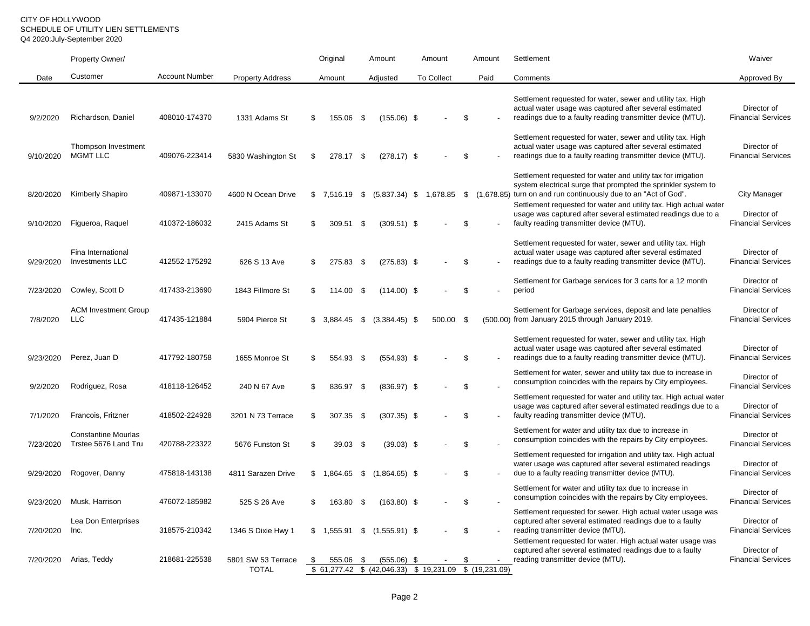### CITY OF HOLLYWOOD SCHEDULE OF UTILITY LIEN SETTLEMENTS Q4 2020:July-September 2020

|                        | Property Owner/                                    |                                |                                     | Original |                       | Amount |                                                                          | Amount            |    | Amount | Settlement                                                                                                                                                                                                                                                                                                                                                                            | Waiver                                                          |
|------------------------|----------------------------------------------------|--------------------------------|-------------------------------------|----------|-----------------------|--------|--------------------------------------------------------------------------|-------------------|----|--------|---------------------------------------------------------------------------------------------------------------------------------------------------------------------------------------------------------------------------------------------------------------------------------------------------------------------------------------------------------------------------------------|-----------------------------------------------------------------|
| Date                   | Customer                                           | <b>Account Number</b>          | <b>Property Address</b>             | Amount   |                       |        | Adjusted                                                                 | <b>To Collect</b> |    | Paid   | Comments                                                                                                                                                                                                                                                                                                                                                                              | Approved By                                                     |
| 9/2/2020               | Richardson, Daniel                                 | 408010-174370                  | 1331 Adams St                       | \$       | 155.06 \$             |        | $(155.06)$ \$                                                            |                   | \$ |        | Settlement requested for water, sewer and utility tax. High<br>actual water usage was captured after several estimated<br>readings due to a faulty reading transmitter device (MTU).<br>Settlement requested for water, sewer and utility tax. High                                                                                                                                   | Director of<br><b>Financial Services</b>                        |
| 9/10/2020              | Thompson Investment<br><b>MGMT LLC</b>             | 409076-223414                  | 5830 Washington St                  | \$       | 278.17 \$             |        | $(278.17)$ \$                                                            |                   | \$ |        | actual water usage was captured after several estimated<br>readings due to a faulty reading transmitter device (MTU).                                                                                                                                                                                                                                                                 | Director of<br><b>Financial Services</b>                        |
| 8/20/2020<br>9/10/2020 | <b>Kimberly Shapiro</b><br>Figueroa, Raquel        | 409871-133070<br>410372-186032 | 4600 N Ocean Drive<br>2415 Adams St | \$<br>\$ | 7,516.19 \$<br>309.51 | \$     | $(5,837.34)$ \$ 1,678.85<br>$(309.51)$ \$                                |                   | \$ |        | Settlement requested for water and utility tax for irrigation<br>system electrical surge that prompted the sprinkler system to<br>\$ (1,678.85) turn on and run continuously due to an "Act of God".<br>Settlement requested for water and utility tax. High actual water<br>usage was captured after several estimated readings due to a<br>faulty reading transmitter device (MTU). | <b>City Manager</b><br>Director of<br><b>Financial Services</b> |
| 9/29/2020              | Fina International<br><b>Investments LLC</b>       | 412552-175292                  | 626 S 13 Ave                        | \$       | 275.83 \$             |        | $(275.83)$ \$                                                            |                   | \$ |        | Settlement requested for water, sewer and utility tax. High<br>actual water usage was captured after several estimated<br>readings due to a faulty reading transmitter device (MTU).                                                                                                                                                                                                  | Director of<br><b>Financial Services</b>                        |
| 7/23/2020              | Cowley, Scott D                                    | 417433-213690                  | 1843 Fillmore St                    | \$       | 114.00                | \$     | $(114.00)$ \$                                                            |                   | \$ |        | Settlement for Garbage services for 3 carts for a 12 month<br>period                                                                                                                                                                                                                                                                                                                  | Director of<br><b>Financial Services</b>                        |
| 7/8/2020               | <b>ACM Investment Group</b><br><b>LLC</b>          | 417435-121884                  | 5904 Pierce St                      |          | $$3,884.45$ \$        |        | $(3,384.45)$ \$                                                          | 500.00 \$         |    |        | Settlement for Garbage services, deposit and late penalties<br>(500.00) from January 2015 through January 2019.                                                                                                                                                                                                                                                                       | Director of<br><b>Financial Services</b>                        |
| 9/23/2020              | Perez, Juan D                                      | 417792-180758                  | 1655 Monroe St                      | \$       | 554.93 \$             |        | $(554.93)$ \$                                                            |                   | \$ |        | Settlement requested for water, sewer and utility tax. High<br>actual water usage was captured after several estimated<br>readings due to a faulty reading transmitter device (MTU).                                                                                                                                                                                                  | Director of<br><b>Financial Services</b>                        |
| 9/2/2020               | Rodriguez, Rosa                                    | 418118-126452                  | 240 N 67 Ave                        | \$       | 836.97                | -\$    | $(836.97)$ \$                                                            |                   | \$ |        | Settlement for water, sewer and utility tax due to increase in<br>consumption coincides with the repairs by City employees.                                                                                                                                                                                                                                                           | Director of<br><b>Financial Services</b>                        |
| 7/1/2020               | Francois, Fritzner                                 | 418502-224928                  | 3201 N 73 Terrace                   | \$       | 307.35 \$             |        | $(307.35)$ \$                                                            |                   | \$ |        | Settlement requested for water and utility tax. High actual water<br>usage was captured after several estimated readings due to a<br>faulty reading transmitter device (MTU).                                                                                                                                                                                                         | Director of<br><b>Financial Services</b>                        |
| 7/23/2020              | <b>Constantine Mourlas</b><br>Trstee 5676 Land Tru | 420788-223322                  | 5676 Funston St                     | \$       | 39.03 \$              |        | $(39.03)$ \$                                                             |                   | \$ |        | Settlement for water and utility tax due to increase in<br>consumption coincides with the repairs by City employees.                                                                                                                                                                                                                                                                  | Director of<br><b>Financial Services</b>                        |
| 9/29/2020              | Rogover, Danny                                     | 475818-143138                  | 4811 Sarazen Drive                  |          | $$1,864.65$ \$        |        | $(1,864.65)$ \$                                                          |                   | \$ |        | Settlement requested for irrigation and utility tax. High actual<br>water usage was captured after several estimated readings<br>due to a faulty reading transmitter device (MTU).                                                                                                                                                                                                    | Director of<br><b>Financial Services</b>                        |
| 9/23/2020              | Musk, Harrison                                     | 476072-185982                  | 525 S 26 Ave                        | \$       | 163.80                | -\$    | $(163.80)$ \$                                                            |                   | \$ |        | Settlement for water and utility tax due to increase in<br>consumption coincides with the repairs by City employees.                                                                                                                                                                                                                                                                  | Director of<br><b>Financial Services</b>                        |
| 7/20/2020              | Lea Don Enterprises<br>Inc.                        | 318575-210342                  | 1346 S Dixie Hwy 1                  |          |                       |        | $$1,555.91$ $$(1,555.91)$ \$                                             |                   | \$ |        | Settlement requested for sewer. High actual water usage was<br>captured after several estimated readings due to a faulty<br>reading transmitter device (MTU).<br>Settlement requested for water. High actual water usage was                                                                                                                                                          | Director of<br><b>Financial Services</b>                        |
| 7/20/2020              | Arias, Teddy                                       | 218681-225538                  | 5801 SW 53 Terrace<br><b>TOTAL</b>  | \$       | 555.06                | - \$   | $(555.06)$ \$<br>\$ 61,277.42 \$ (42,046.33) \$ 19,231.09 \$ (19,231.09) |                   | \$ |        | captured after several estimated readings due to a faulty<br>reading transmitter device (MTU).                                                                                                                                                                                                                                                                                        | Director of<br><b>Financial Services</b>                        |